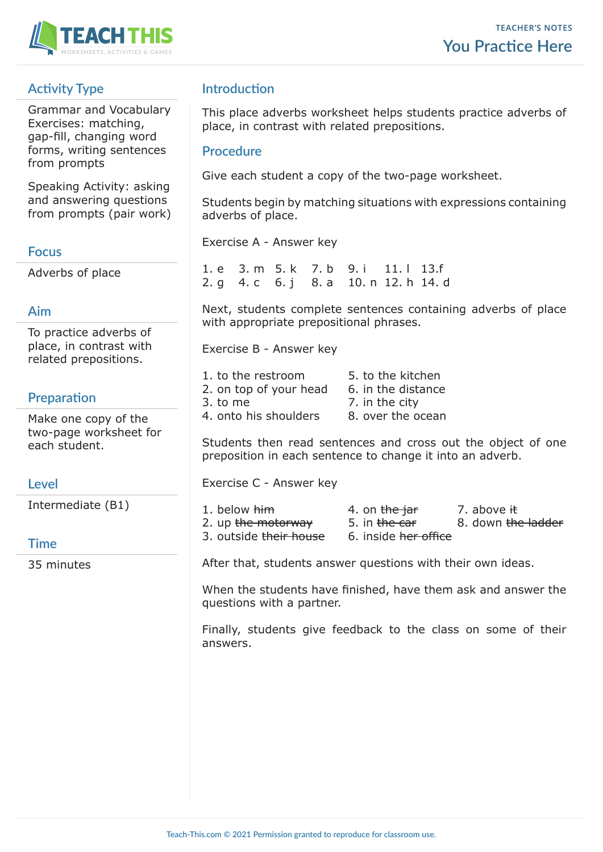

# **Activity Type**

Grammar and Vocabulary Exercises: matching, gap-fill, changing word forms, writing sentences from prompts

Speaking Activity: asking and answering questions from prompts (pair work)

#### **Focus**

Adverbs of place

## **Aim**

To practice adverbs of place, in contrast with related prepositions.

# **Preparation**

Make one copy of the two-page worksheet for each student.

## **Level**

Intermediate (B1)

## **Time**

35 minutes

## **Introduction**

This place adverbs worksheet helps students practice adverbs of place, in contrast with related prepositions.

### **Procedure**

Give each student a copy of the two-page worksheet.

Students begin by matching situations with expressions containing adverbs of place.

Exercise A - Answer key

1. e 3. m 5. k 7. b 9. i 11. l 13.f 2. g 4. c 6. j 8. a 10. n 12. h 14. d

Next, students complete sentences containing adverbs of place with appropriate prepositional phrases.

Exercise B - Answer key

| 1, to the restroom     | 5. to the kitchen  |
|------------------------|--------------------|
| 2. on top of your head | 6. in the distance |
| 3. to me               | 7. in the city     |
| 4. onto his shoulders  | 8. over the ocean  |

Students then read sentences and cross out the object of one preposition in each sentence to change it into an adverb.

Exercise C - Answer key

| 1. below <del>him</del> | 4. on the jar                   | 7. above <del>it</del>        |
|-------------------------|---------------------------------|-------------------------------|
| 2. up the motorway      | 5. in <del>the car</del>        | 8. down <del>the ladder</del> |
| 3. outside their house  | 6. inside <del>her office</del> |                               |

After that, students answer questions with their own ideas.

When the students have finished, have them ask and answer the questions with a partner.

Finally, students give feedback to the class on some of their answers.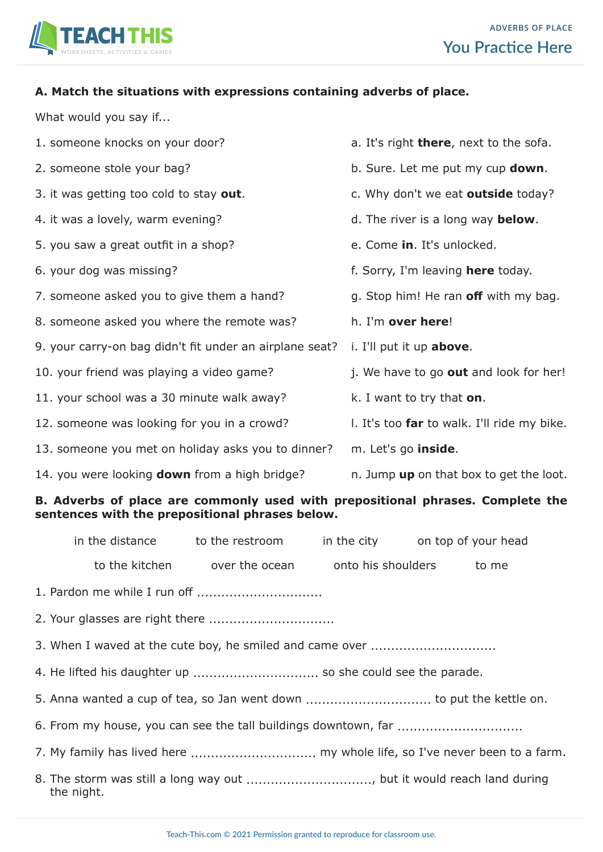

#### **A. Match the situations with expressions containing adverbs of place.**

What would you say if...

1. someone knocks on your door? 2. someone stole your bag? 3. it was getting too cold to stay **out**. 4. it was a lovely, warm evening? 5. you saw a great outfit in a shop? 6. your dog was missing? 7. someone asked you to give them a hand? 8. someone asked you where the remote was? 9. your carry-on bag didn't fit under an airplane seat? 10. your friend was playing a video game? 11. your school was a 30 minute walk away? 12. someone was looking for you in a crowd? 13. someone you met on holiday asks you to dinner? 14. you were looking **down** from a high bridge? a. It's right **there**, next to the sofa. b. Sure. Let me put my cup **down**. c. Why don't we eat **outside** today? d. The river is a long way **below**. e. Come **in**. It's unlocked. f. Sorry, I'm leaving **here** today. g. Stop him! He ran **off** with my bag. h. I'm **over here**! i. I'll put it up **above**. j. We have to go **out** and look for her! k. I want to try that **on**. l. It's too **far** to walk. I'll ride my bike. m. Let's go **inside**. n. Jump **up** on that box to get the loot.

#### **B. Adverbs of place are commonly used with prepositional phrases. Complete the sentences with the prepositional phrases below.**

|                                                                                      | in the distance to the restroom in the city on top of your head |  |  |
|--------------------------------------------------------------------------------------|-----------------------------------------------------------------|--|--|
|                                                                                      | to the kitchen over the ocean onto his shoulders to me          |  |  |
|                                                                                      |                                                                 |  |  |
|                                                                                      |                                                                 |  |  |
|                                                                                      |                                                                 |  |  |
|                                                                                      |                                                                 |  |  |
|                                                                                      |                                                                 |  |  |
|                                                                                      |                                                                 |  |  |
| 7. My family has lived here  my whole life, so I've never been to a farm.            |                                                                 |  |  |
| 8. The storm was still a long way out , but it would reach land during<br>the night. |                                                                 |  |  |